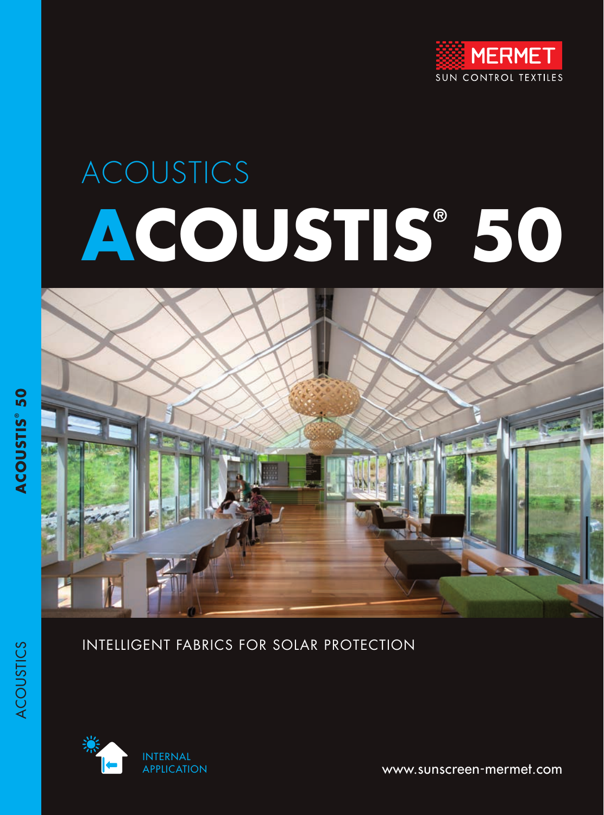

# ACOUSTICS **ACOUSTIS® 50**



#### INTELLIGENT FABRICS FOR SOLAR PROTECTION



www.sunscreen-mermet.com

ACOUSTICS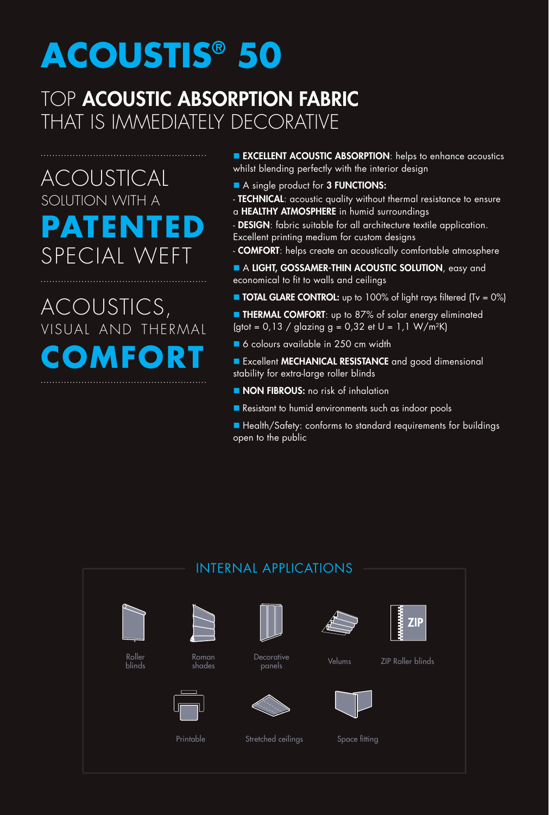## **ACOUSTIS® 50**

### TOP **ACOUSTIC ABSORPTION FABRIC** THAT IS IMMEDIATELY DECORATIVE

ACOUSTICAL SOLUTION WITH A **PATENTED**  tial W

## ACOUSTICS, VISUAL AND THERMAL **COMFORT**

**EXCELLENT ACOUSTIC ABSORPTION:** helps to enhance acoustics whilst blending perfectly with the interior design

- A single product for 3 FUNCTIONS:
- TECHNICAL: acoustic quality without thermal resistance to ensure a HEALTHY ATMOSPHERE in humid surroundings
- DESIGN: fabric suitable for all architecture textile application. Excellent printing medium for custom designs
- COMFORT: helps create an acoustically comfortable atmosphere
- A LIGHT, GOSSAMER-THIN ACOUSTIC SOLUTION, easy and economical to fit to walls and ceilings
- **n** TOTAL GLARE CONTROL: up to 100% of light rays filtered (Tv =  $0\%$ )
- **E** THERMAL COMFORT: up to 87% of solar energy eliminated (gtot =  $0.13 /$  glazing g =  $0.32$  et U =  $1.1 W/m^2K$ )
- 6 colours available in 250 cm width
- **Excellent MECHANICAL RESISTANCE** and good dimensional stability for extra-large roller blinds
- **NON FIBROUS:** no risk of inhalation
- Resistant to humid environments such as indoor pools
- Health/Safety: conforms to standard requirements for buildings open to the public

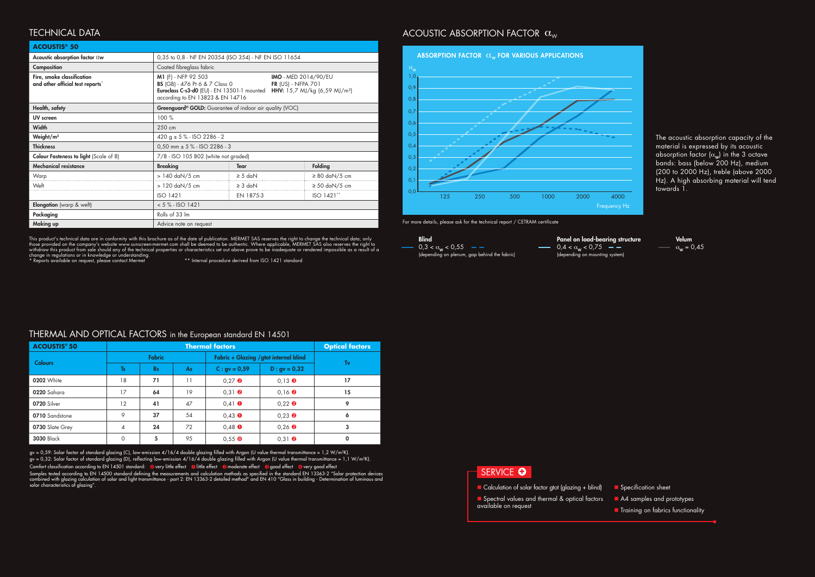#### **ACOUSTIS® 50**

gv = 0,59: Solar factor of standard glazing (C), low-emission 4/16/4 double glazing filled with Argon (U value thermal transmittance = 1,2 W/m²K). gv = 0,32: Solar factor of standard glazing (D), reflecting low-emission 4/16/4 double glazing filled with Argon (U value thermal transmittance = 1,1 W/m²K). Comfort classification according to EN 14501 standard: @very little effect @little effect @moderate effect @good effect @very good effect

Samples tested according to EN 14500 standard defining the measurements and calculation methods as specified in the standard EN 13363-2 "Solar protection devices combined with glazing calculation of solar and light transmittance - part 2: EN 13363-2 detailed method" and EN 410 "Glass in building - Determination of luminous and solar characteristics of glazing". which is a calculation of solar factor gtot (glazing + blind) is calculation of solar factor gtot (glazing + blind)

#### **SERVICE O**

- 
- **n** Spectral values and thermal & optical factors available on request
- 

This product's technical data are in conformity with this brochure as of the date of publication. MERMET SAS reserves the right to change the technical data; only those provided on the company's website www.sunscreen-mermet.com shall be deemed to be authentic. Where applicable, MERMET SAS also reserves the right to withdraw this product from sale should any of the technical properties or characteristics set out above prove to be inadequate or rendered impossible as a result of a change in regulations or in knowledge or understanding.<br>\* Reports available on request, please contact Mermet \*\* hternal procedure derived from ISO 1421 standard

#### ACOUSTIC ABSORPTION FACTOR  $\alpha_w$

#### **ACOUSTIS® 50** 18 | 71 | 11 | 0,27 **@** | 0,13 **@** | 17  $17 \t\t\t 64 \t\t 19 \t\t 0,31$  **0**  $\t\t 0,16$  **0**  $\t\t 15$ 12 **41**  $47$  **0,41 0**  $\overline{0}$  **0,22 <b>9 9** 9 37  $54$  0,43 0 0,23 **9** 6 4 **24** 72 0,48 0 0,26 **2** 3 0  $\begin{array}{|c|c|c|c|c|c|c|c|} \hline \multicolumn{1}{|c|}{5} & \multicolumn{1}{|c|}{95} & \multicolumn{1}{|c|}{0,55}\, \hline \multicolumn{1}{|c|}{0} & \multicolumn{1}{|c|}{0,31}\, \hline \multicolumn{1}{|c|}{9} & \multicolumn{1}{|c|}{0} & \multicolumn{1}{|c|}{0} \ \hline \end{array}$ THERMAL AND OPTICAL FACTORS in the European standard EN 14501 **Thermal factors** *Optical factors* **Colours** Fabric Fabric + Glazing /gtot internal blind Tv Ts Rs As C: gv =  $0.59$  D: gv =  $0.32$ **0202 White** 0220 Sahara 0720 Silver 0710 Sandstone 0730 Slate Grey 3030 Black

Velum  $\alpha_w = 0,45$ 

**n** Specification sheet

- A4 samples and prototypes
- **n** Training on fabrics functionality

| Acoustic absorption factor $0w$                                | 0,35 to 0,8 - NF EN 20354 (ISO 354) - NF EN ISO 11654                                                                                                                                     |              |                                                          |                          |
|----------------------------------------------------------------|-------------------------------------------------------------------------------------------------------------------------------------------------------------------------------------------|--------------|----------------------------------------------------------|--------------------------|
| Composition                                                    | Coated fibreglass fabric                                                                                                                                                                  |              |                                                          |                          |
| Fire, smoke classification<br>and other official test reports* | M1 (F) - NFP 92 503<br><b>BS</b> (GB) - 476 Pt 6 & 7 Class 0<br>Euroclass C-s3-d0 (EU) - EN 13501-1 mounted HHV: 15,7 MJ/kg (6,59 MJ/m <sup>2</sup> )<br>according to EN 13823 & EN 14716 |              | <b>IMO</b> - MED 2014/90/EU<br><b>FR (US) - NFPA 701</b> |                          |
| Health, safety                                                 | Greenguard <sup>®</sup> GOLD: Guarantee of indoor air quality (VOC)                                                                                                                       |              |                                                          |                          |
| UV screen                                                      | 100%                                                                                                                                                                                      |              |                                                          |                          |
| <b>Width</b>                                                   | 250 cm                                                                                                                                                                                    |              |                                                          |                          |
| Weight/ $m2$                                                   | 420 g $\pm$ 5 % - ISO 2286 - 2                                                                                                                                                            |              |                                                          |                          |
| <b>Thickness</b>                                               | $0,50$ mm $\pm$ 5 % - ISO 2286 - 3                                                                                                                                                        |              |                                                          |                          |
| <b>Colour Fasteness to light (Scale of 8)</b>                  | 7/8 - ISO 105 B02 (white not graded)                                                                                                                                                      |              |                                                          |                          |
| <b>Mechanical resistance</b>                                   | <b>Breaking</b>                                                                                                                                                                           | <b>Tear</b>  |                                                          | Folding                  |
| Warp                                                           | > 140 daN/5 cm                                                                                                                                                                            | $\geq$ 5 daN |                                                          | $\geq 80$ daN/5 cm       |
| Weft                                                           | $> 120$ daN/5 cm                                                                                                                                                                          | $\geq$ 3 daN |                                                          | $\geq$ 50 daN/5 cm       |
|                                                                | <b>ISO 1421</b>                                                                                                                                                                           | EN 1875-3    |                                                          | $ISO 1421$ <sup>**</sup> |
| <b>Elongation</b> (warp & weft)                                | $< 5$ % - ISO 1421                                                                                                                                                                        |              |                                                          |                          |
| Packaging                                                      | Rolls of 33 Im                                                                                                                                                                            |              |                                                          |                          |
| Making up                                                      | Advice note on request                                                                                                                                                                    |              |                                                          |                          |

#### TECHNICAL DATA

The acoustic absorption capacity of the material is expressed by its acoustic absorption factor  $(\alpha_w)$  in the 3 octave bands: bass (below 200 Hz), medium (200 to 2000 Hz), treble (above 2000 Hz). A high absorbing material will tend towards 1.



For more details, please ask for the technical report / CETRAM certificate

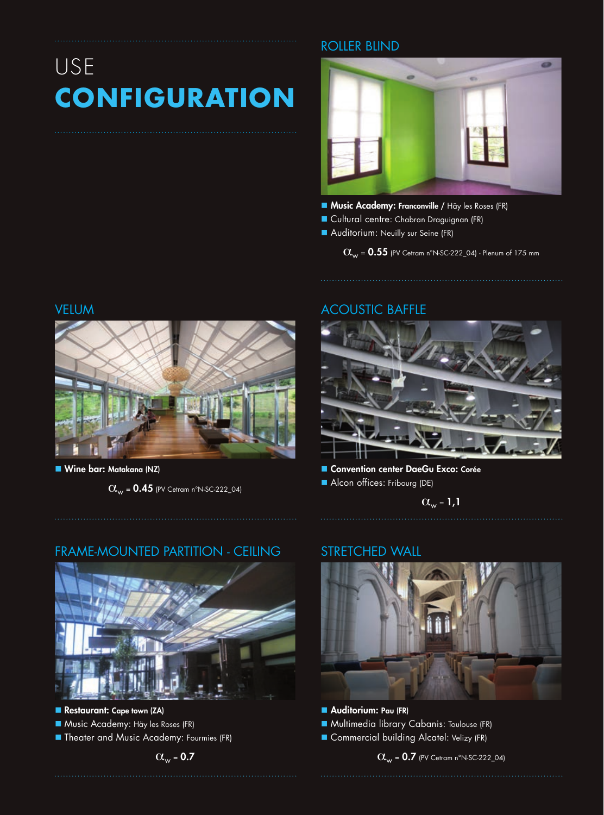## USE **CONFIGURATION**

#### ROLLER BLIND



- **Music Academy: Franconville / Häy les Roses (FR)**
- **n** Cultural centre: Chabran Draguignan (FR)
- Auditorium: Neuilly sur Seine (FR)

 $\alpha_w$  = 0.55 (PV Cetram n°N-SC-222\_04) - Plenum of 175 mm

#### VELUM



■ Wine bar: Matakana (NZ)

 $\alpha_{w}$  = 0.45 (PV Cetram n°N-SC-222\_04)

#### ACOUSTIC BAFFLE



Convention center DaeGu Exco: Corée Alcon offices: Fribourg (DE)

 $\alpha_{w} = 1,1$ 

#### FRAME-MOUNTED PARTITION - CEILING



- Restaurant: Cape town (ZA)
- **n** Music Academy: Häy les Roses (FR)
- **n** Theater and Music Academy: Fourmies (FR)

#### STRETCHED WALL



- **Auditorium: Pau (FR) n** Multimedia library Cabanis: Toulouse (FR)
- Commercial building Alcatel: Velizy (FR)

 $\alpha_w$  = 0.7 (PV Cetram n°N-SC-222\_04)

#### $\alpha_{\rm w}$  = 0.7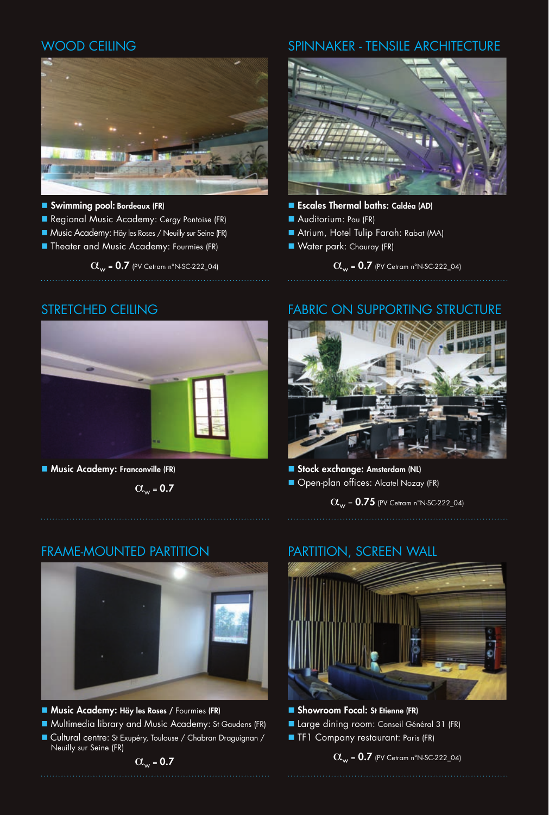#### WOOD CEILING



- n Swimming pool: Bordeaux (FR)
- Regional Music Academy: Cergy Pontoise (FR)
- **Nusic Academy: Häy les Roses / Neuilly sur Seine (FR)**
- **n** Theater and Music Academy: Fourmies (FR)

 $\alpha_w$  = 0.7 (PV Cetram n°N-SC-222\_04)

#### SPINNAKER - TENSILE ARCHITECTURE



- Escales Thermal baths: Caldéa (AD)
- Auditorium: Pau (FR)
- Atrium, Hotel Tulip Farah: Rabat (MA)
- **N** Water park: Chauray (FR)

 $\alpha_w$  = 0.7 (PV Cetram n°N-SC-222\_04)

#### STRETCHED CEILING



**n** Music Academy: Franconville (FR)

 $\alpha_{\text{w}} = 0.7$ 

#### FABRIC ON SUPPORTING STRUCTURE



Stock exchange: Amsterdam (NL) **n** Open-plan offices: Alcatel Nozay (FR)

 $\alpha_w = 0.75$  (PV Cetram n°N-SC-222\_04)

#### FRAME-MOUNTED PARTITION



- **Music Academy: Häy les Roses / Fourmies (FR)**
- Multimedia library and Music Academy: St Gaudens (FR)
- n Cultural centre: St Exupéry, Toulouse / Chabran Draguignan / Neuilly sur Seine (FR)

#### PARTITION, SCREEN WALL



- **n** Showroom Focal: St Etienne (FR)
- Large dining room: Conseil Général 31 (FR)
- **n** TF1 Company restaurant: Paris (FR)

 $\alpha_w = 0.7$  (PV Cetram n°N-SC-222\_04)

 $\alpha_w = 0.7$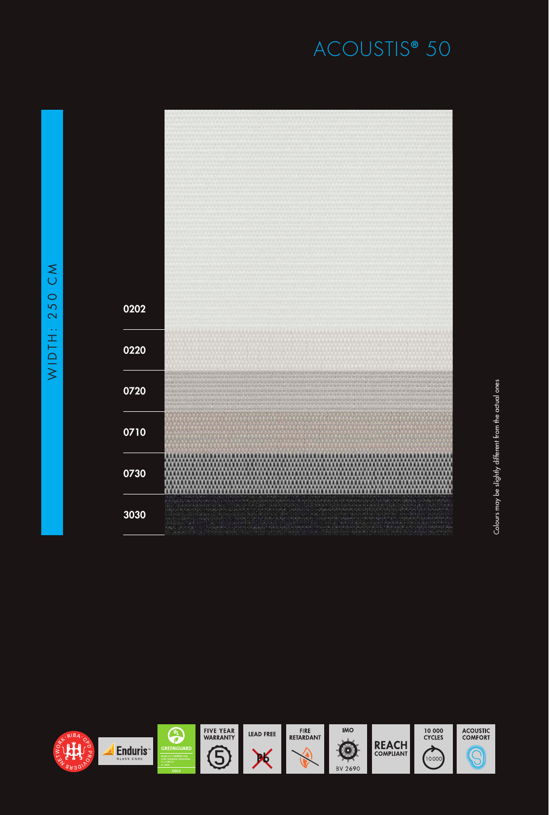## ACOUSTIS **®** 50